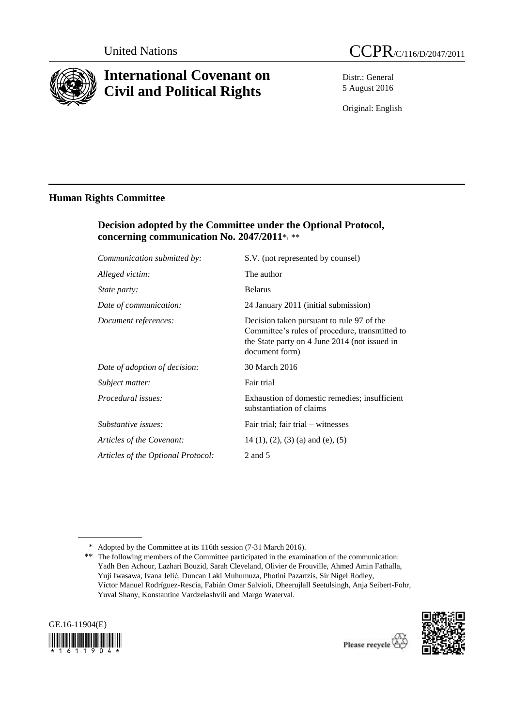

# **International Covenant on Civil and Political Rights**

Distr.: General 5 August 2016

Original: English

# **Human Rights Committee**

# **Decision adopted by the Committee under the Optional Protocol, concerning communication No. 2047/2011**\*, \*\*

| Communication submitted by:        | S.V. (not represented by counsel)                                                                                                                              |
|------------------------------------|----------------------------------------------------------------------------------------------------------------------------------------------------------------|
| Alleged victim:                    | The author                                                                                                                                                     |
| <i>State party:</i>                | <b>Belarus</b>                                                                                                                                                 |
| Date of communication:             | 24 January 2011 (initial submission)                                                                                                                           |
| Document references:               | Decision taken pursuant to rule 97 of the<br>Committee's rules of procedure, transmitted to<br>the State party on 4 June 2014 (not issued in<br>document form) |
| Date of adoption of decision:      | 30 March 2016                                                                                                                                                  |
| Subject matter:                    | Fair trial                                                                                                                                                     |
| Procedural issues:                 | Exhaustion of domestic remedies; insufficient<br>substantiation of claims                                                                                      |
| Substantive issues:                | Fair trial; fair trial – witnesses                                                                                                                             |
| Articles of the Covenant:          | $14$ (1), (2), (3) (a) and (e), (5)                                                                                                                            |
| Articles of the Optional Protocol: | 2 and 5                                                                                                                                                        |

<sup>\*\*</sup> The following members of the Committee participated in the examination of the communication: Yadh Ben Achour, Lazhari Bouzid, Sarah Cleveland, Olivier de Frouville, Ahmed Amin Fathalla, Yuji Iwasawa, Ivana Jelić, Duncan Laki Muhumuza, Photini Pazartzis, Sir Nigel Rodley, Víctor Manuel Rodríguez-Rescia, Fabián Omar Salvioli, Dheerujlall Seetulsingh, Anja Seibert-Fohr, Yuval Shany, Konstantine Vardzelashvili and Margo Waterval.





<sup>\*</sup> Adopted by the Committee at its 116th session (7-31 March 2016).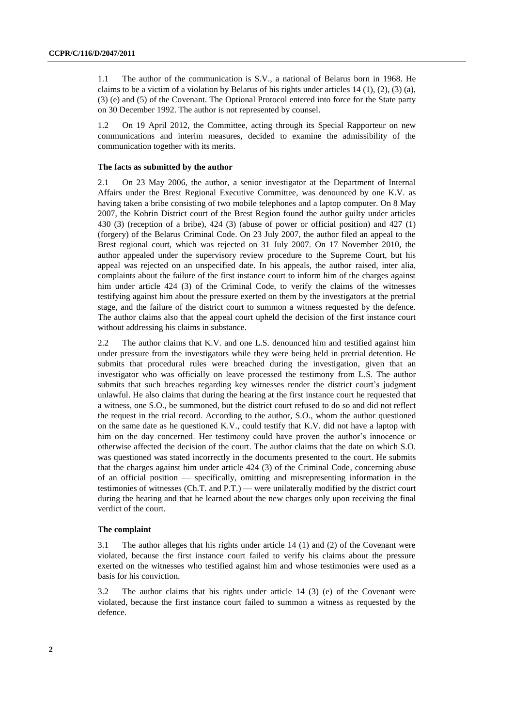1.1 The author of the communication is S.V., a national of Belarus born in 1968. He claims to be a victim of a violation by Belarus of his rights under articles 14 (1), (2), (3) (a), (3) (e) and (5) of the Covenant. The Optional Protocol entered into force for the State party on 30 December 1992. The author is not represented by counsel.

1.2 On 19 April 2012, the Committee, acting through its Special Rapporteur on new communications and interim measures, decided to examine the admissibility of the communication together with its merits.

#### **The facts as submitted by the author**

2.1 On 23 May 2006, the author, a senior investigator at the Department of Internal Affairs under the Brest Regional Executive Committee, was denounced by one K.V. as having taken a bribe consisting of two mobile telephones and a laptop computer. On 8 May 2007, the Kobrin District court of the Brest Region found the author guilty under articles 430 (3) (reception of a bribe), 424 (3) (abuse of power or official position) and 427 (1) (forgery) of the Belarus Criminal Code. On 23 July 2007, the author filed an appeal to the Brest regional court, which was rejected on 31 July 2007. On 17 November 2010, the author appealed under the supervisory review procedure to the Supreme Court, but his appeal was rejected on an unspecified date. In his appeals, the author raised, inter alia, complaints about the failure of the first instance court to inform him of the charges against him under article 424 (3) of the Criminal Code, to verify the claims of the witnesses testifying against him about the pressure exerted on them by the investigators at the pretrial stage, and the failure of the district court to summon a witness requested by the defence. The author claims also that the appeal court upheld the decision of the first instance court without addressing his claims in substance.

2.2 The author claims that K.V. and one L.S. denounced him and testified against him under pressure from the investigators while they were being held in pretrial detention. He submits that procedural rules were breached during the investigation, given that an investigator who was officially on leave processed the testimony from L.S. The author submits that such breaches regarding key witnesses render the district court's judgment unlawful. He also claims that during the hearing at the first instance court he requested that a witness, one S.O., be summoned, but the district court refused to do so and did not reflect the request in the trial record. According to the author, S.O., whom the author questioned on the same date as he questioned K.V., could testify that K.V. did not have a laptop with him on the day concerned. Her testimony could have proven the author's innocence or otherwise affected the decision of the court. The author claims that the date on which S.O. was questioned was stated incorrectly in the documents presented to the court. He submits that the charges against him under article 424 (3) of the Criminal Code, concerning abuse of an official position — specifically, omitting and misrepresenting information in the testimonies of witnesses (Ch.T. and P.T.) — were unilaterally modified by the district court during the hearing and that he learned about the new charges only upon receiving the final verdict of the court.

#### **The complaint**

3.1 The author alleges that his rights under article 14 (1) and (2) of the Covenant were violated, because the first instance court failed to verify his claims about the pressure exerted on the witnesses who testified against him and whose testimonies were used as a basis for his conviction.

3.2 The author claims that his rights under article 14 (3) (e) of the Covenant were violated, because the first instance court failed to summon a witness as requested by the defence.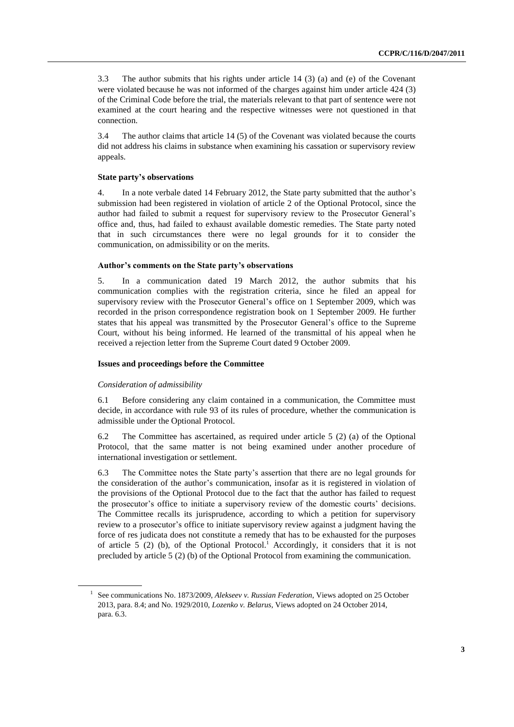3.3 The author submits that his rights under article 14 (3) (a) and (e) of the Covenant were violated because he was not informed of the charges against him under article 424 (3) of the Criminal Code before the trial, the materials relevant to that part of sentence were not examined at the court hearing and the respective witnesses were not questioned in that connection.

3.4 The author claims that article 14 (5) of the Covenant was violated because the courts did not address his claims in substance when examining his cassation or supervisory review appeals.

## **State party's observations**

4. In a note verbale dated 14 February 2012, the State party submitted that the author's submission had been registered in violation of article 2 of the Optional Protocol, since the author had failed to submit a request for supervisory review to the Prosecutor General's office and, thus, had failed to exhaust available domestic remedies. The State party noted that in such circumstances there were no legal grounds for it to consider the communication, on admissibility or on the merits.

## **Author's comments on the State party's observations**

5. In a communication dated 19 March 2012, the author submits that his communication complies with the registration criteria, since he filed an appeal for supervisory review with the Prosecutor General's office on 1 September 2009, which was recorded in the prison correspondence registration book on 1 September 2009. He further states that his appeal was transmitted by the Prosecutor General's office to the Supreme Court, without his being informed. He learned of the transmittal of his appeal when he received a rejection letter from the Supreme Court dated 9 October 2009.

# **Issues and proceedings before the Committee**

## *Consideration of admissibility*

6.1 Before considering any claim contained in a communication, the Committee must decide, in accordance with rule 93 of its rules of procedure, whether the communication is admissible under the Optional Protocol.

6.2 The Committee has ascertained, as required under article 5 (2) (a) of the Optional Protocol, that the same matter is not being examined under another procedure of international investigation or settlement.

6.3 The Committee notes the State party's assertion that there are no legal grounds for the consideration of the author's communication, insofar as it is registered in violation of the provisions of the Optional Protocol due to the fact that the author has failed to request the prosecutor's office to initiate a supervisory review of the domestic courts' decisions. The Committee recalls its jurisprudence, according to which a petition for supervisory review to a prosecutor's office to initiate supervisory review against a judgment having the force of res judicata does not constitute a remedy that has to be exhausted for the purposes of article 5 (2) (b), of the Optional Protocol.<sup>1</sup> Accordingly, it considers that it is not precluded by article 5 (2) (b) of the Optional Protocol from examining the communication.

<sup>1</sup> See communications No. 1873/2009, *Alekseev v. Russian Federation*, Views adopted on 25 October 2013, para. 8.4; and No. 1929/2010, *Lozenko v. Belarus*, Views adopted on 24 October 2014, para. 6.3.